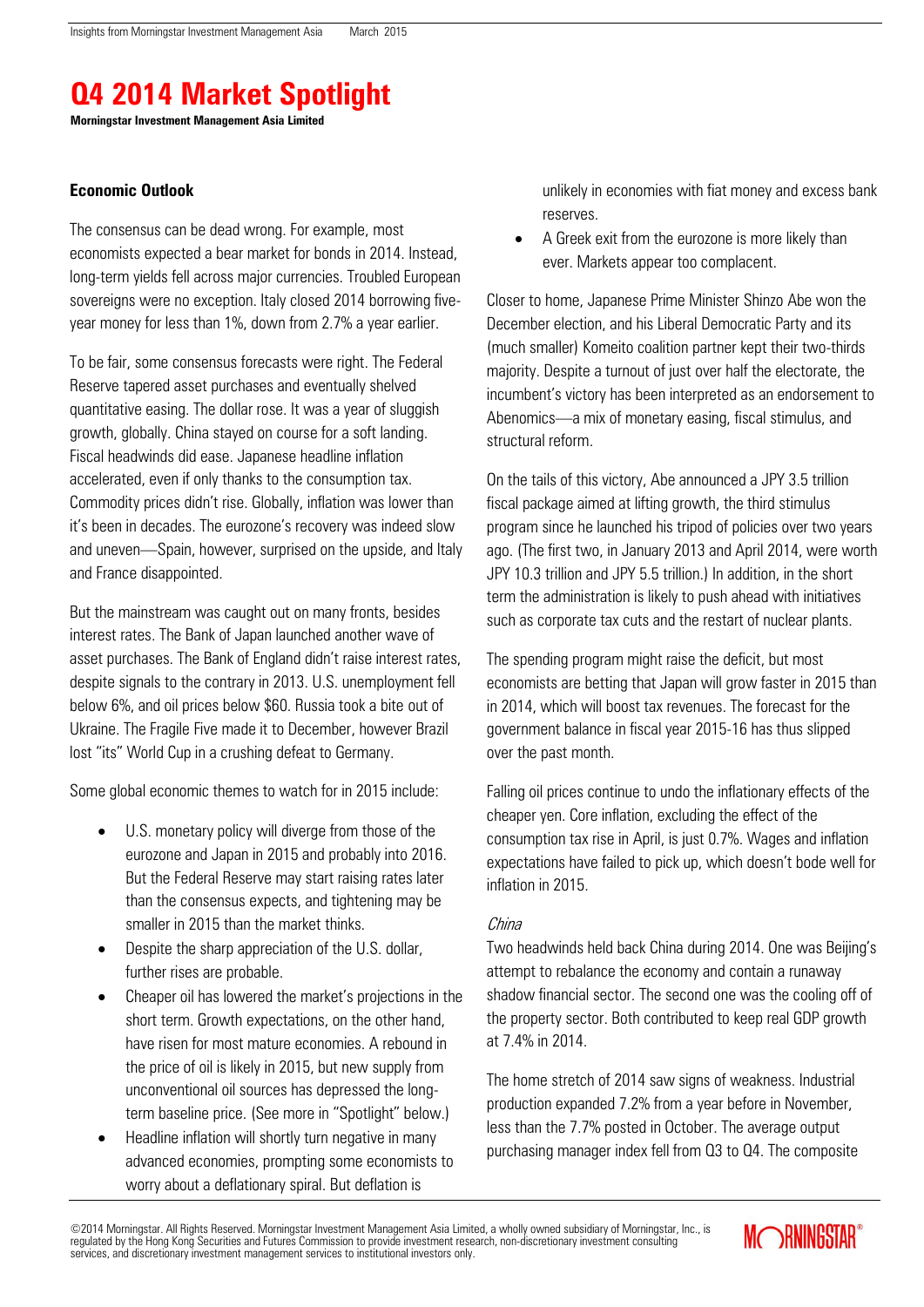# **Q4 2014 Market Spotlight**

**Morningstar Investment Management Asia Limited**

## **Economic Outlook**

The consensus can be dead wrong. For example, most economists expected a bear market for bonds in 2014. Instead, long-term yields fell across major currencies. Troubled European sovereigns were no exception. Italy closed 2014 borrowing fiveyear money for less than 1%, down from 2.7% a year earlier.

To be fair, some consensus forecasts were right. The Federal Reserve tapered asset purchases and eventually shelved quantitative easing. The dollar rose. It was a year of sluggish growth, globally. China stayed on course for a soft landing. Fiscal headwinds did ease. Japanese headline inflation accelerated, even if only thanks to the consumption tax. Commodity prices didn't rise. Globally, inflation was lower than it's been in decades. The eurozone's recovery was indeed slow and uneven—Spain, however, surprised on the upside, and Italy and France disappointed.

But the mainstream was caught out on many fronts, besides interest rates. The Bank of Japan launched another wave of asset purchases. The Bank of England didn't raise interest rates, despite signals to the contrary in 2013. U.S. unemployment fell below 6%, and oil prices below \$60. Russia took a bite out of Ukraine. The Fragile Five made it to December, however Brazil lost "its" World Cup in a crushing defeat to Germany.

Some global economic themes to watch for in 2015 include:

- U.S. monetary policy will diverge from those of the eurozone and Japan in 2015 and probably into 2016. But the Federal Reserve may start raising rates later than the consensus expects, and tightening may be smaller in 2015 than the market thinks.
- Despite the sharp appreciation of the U.S. dollar, further rises are probable.
- Cheaper oil has lowered the market's projections in the short term. Growth expectations, on the other hand, have risen for most mature economies. A rebound in the price of oil is likely in 2015, but new supply from unconventional oil sources has depressed the longterm baseline price. (See more in "Spotlight" below.)
- Headline inflation will shortly turn negative in many advanced economies, prompting some economists to worry about a deflationary spiral. But deflation is

unlikely in economies with fiat money and excess bank reserves.

 A Greek exit from the eurozone is more likely than ever. Markets appear too complacent.

Closer to home, Japanese Prime Minister Shinzo Abe won the December election, and his Liberal Democratic Party and its (much smaller) Komeito coalition partner kept their two-thirds majority. Despite a turnout of just over half the electorate, the incumbent's victory has been interpreted as an endorsement to Abenomics—a mix of monetary easing, fiscal stimulus, and structural reform.

On the tails of this victory, Abe announced a JPY 3.5 trillion fiscal package aimed at lifting growth, the third stimulus program since he launched his tripod of policies over two years ago. (The first two, in January 2013 and April 2014, were worth JPY 10.3 trillion and JPY 5.5 trillion.) In addition, in the short term the administration is likely to push ahead with initiatives such as corporate tax cuts and the restart of nuclear plants.

The spending program might raise the deficit, but most economists are betting that Japan will grow faster in 2015 than in 2014, which will boost tax revenues. The forecast for the government balance in fiscal year 2015-16 has thus slipped over the past month.

Falling oil prices continue to undo the inflationary effects of the cheaper yen. Core inflation, excluding the effect of the consumption tax rise in April, is just 0.7%. Wages and inflation expectations have failed to pick up, which doesn't bode well for inflation in 2015.

# China

Two headwinds held back China during 2014. One was Beijing's attempt to rebalance the economy and contain a runaway shadow financial sector. The second one was the cooling off of the property sector. Both contributed to keep real GDP growth at 7.4% in 2014.

The home stretch of 2014 saw signs of weakness. Industrial production expanded 7.2% from a year before in November, less than the 7.7% posted in October. The average output purchasing manager index fell from Q3 to Q4. The composite

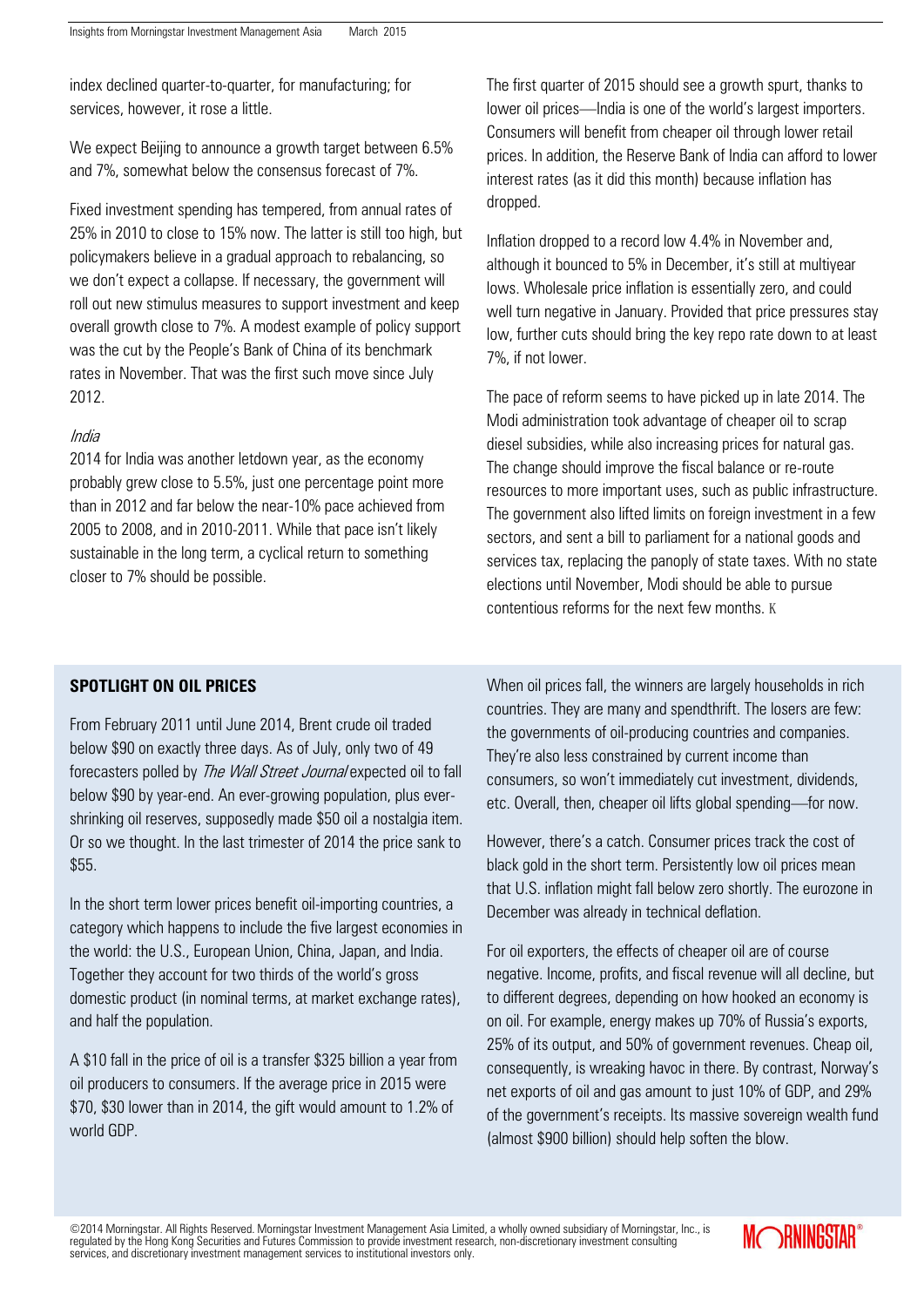index declined quarter-to-quarter, for manufacturing; for services, however, it rose a little.

We expect Beijing to announce a growth target between 6.5% and 7%, somewhat below the consensus forecast of 7%.

Fixed investment spending has tempered, from annual rates of 25% in 2010 to close to 15% now. The latter is still too high, but policymakers believe in a gradual approach to rebalancing, so we don't expect a collapse. If necessary, the government will roll out new stimulus measures to support investment and keep overall growth close to 7%. A modest example of policy support was the cut by the People's Bank of China of its benchmark rates in November. That was the first such move since July 2012.

#### India

2014 for India was another letdown year, as the economy probably grew close to 5.5%, just one percentage point more than in 2012 and far below the near-10% pace achieved from 2005 to 2008, and in 2010-2011. While that pace isn't likely sustainable in the long term, a cyclical return to something closer to 7% should be possible.

The first quarter of 2015 should see a growth spurt, thanks to lower oil prices—India is one of the world's largest importers. Consumers will benefit from cheaper oil through lower retail prices. In addition, the Reserve Bank of India can afford to lower interest rates (as it did this month) because inflation has dropped.

Inflation dropped to a record low 4.4% in November and, although it bounced to 5% in December, it's still at multiyear lows. Wholesale price inflation is essentially zero, and could well turn negative in January. Provided that price pressures stay low, further cuts should bring the key repo rate down to at least 7%, if not lower.

The pace of reform seems to have picked up in late 2014. The Modi administration took advantage of cheaper oil to scrap diesel subsidies, while also increasing prices for natural gas. The change should improve the fiscal balance or re-route resources to more important uses, such as public infrastructure. The government also lifted limits on foreign investment in a few sectors, and sent a bill to parliament for a national goods and services tax, replacing the panoply of state taxes. With no state elections until November, Modi should be able to pursue contentious reforms for the next few months. K

# **SPOTLIGHT ON OIL PRICES**

From February 2011 until June 2014, Brent crude oil traded below \$90 on exactly three days. As of July, only two of 49 forecasters polled by *The Wall Street Journal* expected oil to fall below \$90 by year-end. An ever-growing population, plus evershrinking oil reserves, supposedly made \$50 oil a nostalgia item. Or so we thought. In the last trimester of 2014 the price sank to \$55.

In the short term lower prices benefit oil-importing countries, a category which happens to include the five largest economies in the world: the U.S., European Union, China, Japan, and India. Together they account for two thirds of the world's gross domestic product (in nominal terms, at market exchange rates), and half the population.

A \$10 fall in the price of oil is a transfer \$325 billion a year from oil producers to consumers. If the average price in 2015 were \$70, \$30 lower than in 2014, the gift would amount to 1.2% of world GDP.

When oil prices fall, the winners are largely households in rich countries. They are many and spendthrift. The losers are few: the governments of oil-producing countries and companies. They're also less constrained by current income than consumers, so won't immediately cut investment, dividends, etc. Overall, then, cheaper oil lifts global spending—for now.

However, there's a catch. Consumer prices track the cost of black gold in the short term. Persistently low oil prices mean that U.S. inflation might fall below zero shortly. The eurozone in December was already in technical deflation.

For oil exporters, the effects of cheaper oil are of course negative. Income, profits, and fiscal revenue will all decline, but to different degrees, depending on how hooked an economy is on oil. For example, energy makes up 70% of Russia's exports, 25% of its output, and 50% of government revenues. Cheap oil, consequently, is wreaking havoc in there. By contrast, Norway's net exports of oil and gas amount to just 10% of GDP, and 29% of the government's receipts. Its massive sovereign wealth fund (almost \$900 billion) should help soften the blow.

©2014 Morningstar. All Rights Reserved. Morningstar Investment Management Asia Limited, a wholly owned subsidiary of Morningstar, Inc., is regulated by the Hong Kong Securities and Futures Commission to provide investment research, non-discretionary investment consulting services, and discretionary investment management services to institutional investors only.

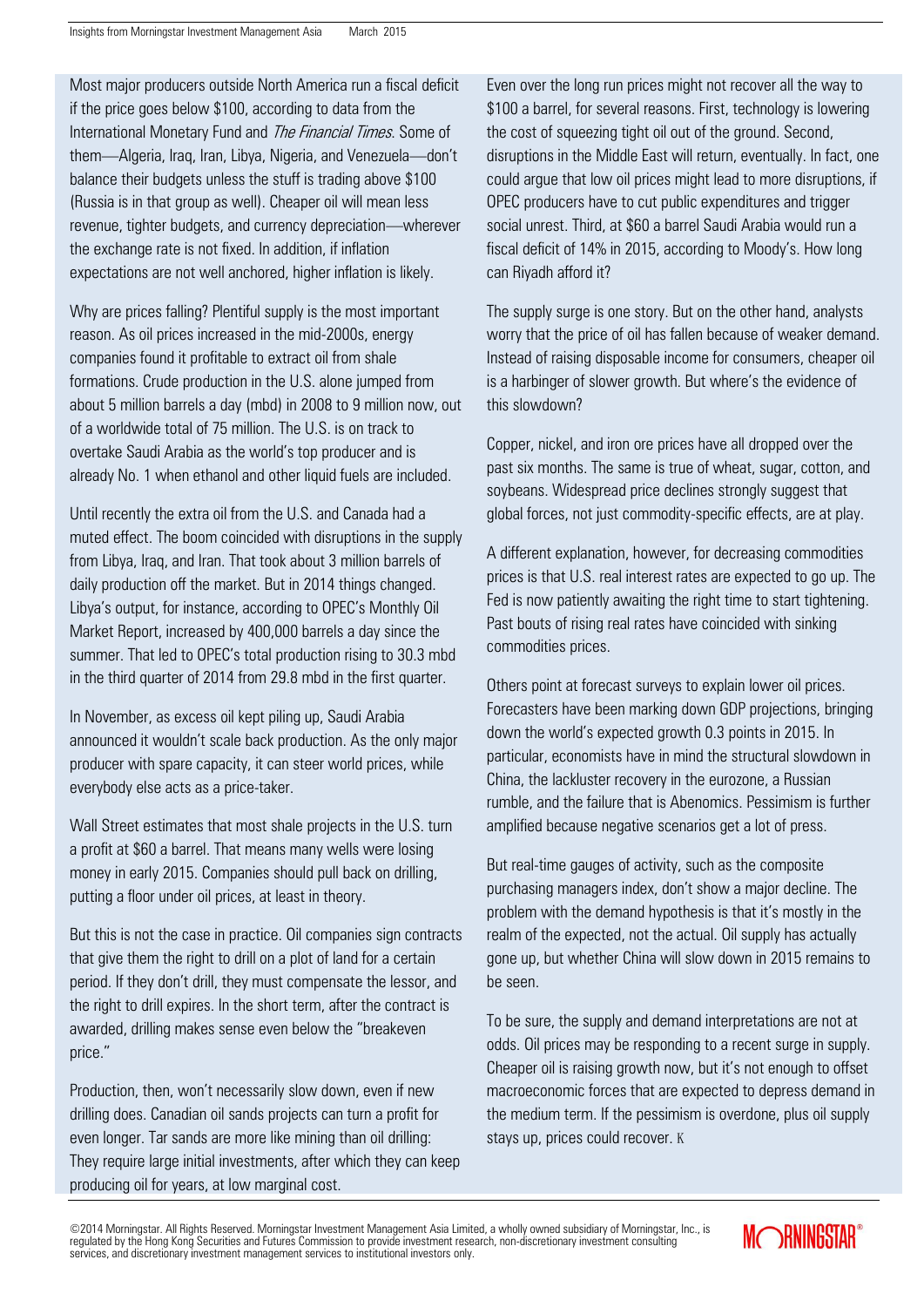Most major producers outside North America run a fiscal deficit if the price goes below \$100, according to data from the International Monetary Fund and *The Financial Times*. Some of them—Algeria, Iraq, Iran, Libya, Nigeria, and Venezuela—don't balance their budgets unless the stuff is trading above \$100 (Russia is in that group as well). Cheaper oil will mean less revenue, tighter budgets, and currency depreciation—wherever the exchange rate is not fixed. In addition, if inflation expectations are not well anchored, higher inflation is likely.

Why are prices falling? Plentiful supply is the most important reason. As oil prices increased in the mid-2000s, energy companies found it profitable to extract oil from shale formations. Crude production in the U.S. alone jumped from about 5 million barrels a day (mbd) in 2008 to 9 million now, out of a worldwide total of 75 million. The U.S. is on track to overtake Saudi Arabia as the world's top producer and is already No. 1 when ethanol and other liquid fuels are included.

Until recently the extra oil from the U.S. and Canada had a muted effect. The boom coincided with disruptions in the supply from Libya, Iraq, and Iran. That took about 3 million barrels of daily production off the market. But in 2014 things changed. Libya's output, for instance, according to OPEC's Monthly Oil Market Report, increased by 400,000 barrels a day since the summer. That led to OPEC's total production rising to 30.3 mbd in the third quarter of 2014 from 29.8 mbd in the first quarter.

In November, as excess oil kept piling up, Saudi Arabia announced it wouldn't scale back production. As the only major producer with spare capacity, it can steer world prices, while everybody else acts as a price-taker.

Wall Street estimates that most shale projects in the U.S. turn a profit at \$60 a barrel. That means many wells were losing money in early 2015. Companies should pull back on drilling, putting a floor under oil prices, at least in theory.

But this is not the case in practice. Oil companies sign contracts that give them the right to drill on a plot of land for a certain period. If they don't drill, they must compensate the lessor, and the right to drill expires. In the short term, after the contract is awarded, drilling makes sense even below the "breakeven price."

Production, then, won't necessarily slow down, even if new drilling does. Canadian oil sands projects can turn a profit for even longer. Tar sands are more like mining than oil drilling: They require large initial investments, after which they can keep producing oil for years, at low marginal cost.

Even over the long run prices might not recover all the way to \$100 a barrel, for several reasons. First, technology is lowering the cost of squeezing tight oil out of the ground. Second, disruptions in the Middle East will return, eventually. In fact, one could argue that low oil prices might lead to more disruptions, if OPEC producers have to cut public expenditures and trigger social unrest. Third, at \$60 a barrel Saudi Arabia would run a fiscal deficit of 14% in 2015, according to Moody's. How long can Riyadh afford it?

The supply surge is one story. But on the other hand, analysts worry that the price of oil has fallen because of weaker demand. Instead of raising disposable income for consumers, cheaper oil is a harbinger of slower growth. But where's the evidence of this slowdown?

Copper, nickel, and iron ore prices have all dropped over the past six months. The same is true of wheat, sugar, cotton, and soybeans. Widespread price declines strongly suggest that global forces, not just commodity-specific effects, are at play.

A different explanation, however, for decreasing commodities prices is that U.S. real interest rates are expected to go up. The Fed is now patiently awaiting the right time to start tightening. Past bouts of rising real rates have coincided with sinking commodities prices.

Others point at forecast surveys to explain lower oil prices. Forecasters have been marking down GDP projections, bringing down the world's expected growth 0.3 points in 2015. In particular, economists have in mind the structural slowdown in China, the lackluster recovery in the eurozone, a Russian rumble, and the failure that is Abenomics. Pessimism is further amplified because negative scenarios get a lot of press.

But real-time gauges of activity, such as the composite purchasing managers index, don't show a major decline. The problem with the demand hypothesis is that it's mostly in the realm of the expected, not the actual. Oil supply has actually gone up, but whether China will slow down in 2015 remains to be seen.

To be sure, the supply and demand interpretations are not at odds. Oil prices may be responding to a recent surge in supply. Cheaper oil is raising growth now, but it's not enough to offset macroeconomic forces that are expected to depress demand in the medium term. If the pessimism is overdone, plus oil supply stays up, prices could recover. K

©2014 Morningstar. All Rights Reserved. Morningstar Investment Management Asia Limited, a wholly owned subsidiary of Morningstar, Inc., is regulated by the Hong Kong Securities and Futures Commission to provide investment research, non-discretionary investment consulting services, and discretionary investment management services to institutional investors only.